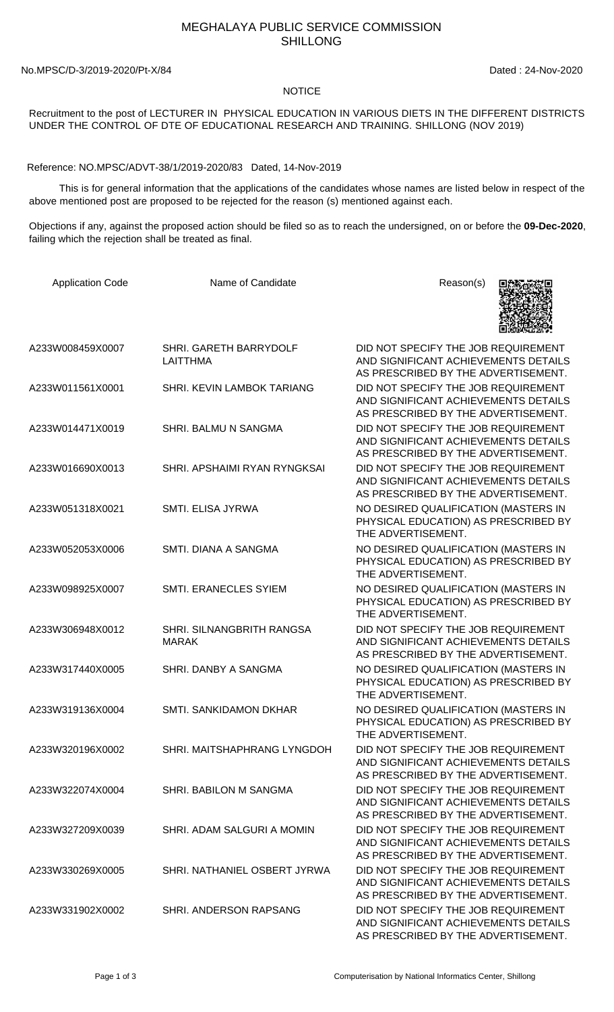## MEGHALAYA PUBLIC SERVICE COMMISSION SHILLONG

No.MPSC/D-3/2019-2020/Pt-X/84 Dated : 24-Nov-2020

## NOTICE

Recruitment to the post of LECTURER IN PHYSICAL EDUCATION IN VARIOUS DIETS IN THE DIFFERENT DISTRICTS UNDER THE CONTROL OF DTE OF EDUCATIONAL RESEARCH AND TRAINING. SHILLONG (NOV 2019)

Reference: NO.MPSC/ADVT-38/1/2019-2020/83 Dated, 14-Nov-2019

 This is for general information that the applications of the candidates whose names are listed below in respect of the above mentioned post are proposed to be rejected for the reason (s) mentioned against each.

Objections if any, against the proposed action should be filed so as to reach the undersigned, on or before the **09-Dec-2020**, failing which the rejection shall be treated as final.

| <b>Application Code</b> | Name of Candidate                         | Reason(s)                                                                                                          |
|-------------------------|-------------------------------------------|--------------------------------------------------------------------------------------------------------------------|
| A233W008459X0007        | SHRI. GARETH BARRYDOLF<br>LAITTHMA        | DID NOT SPECIFY THE JOB REQUIREMENT<br>AND SIGNIFICANT ACHIEVEMENTS DETAILS<br>AS PRESCRIBED BY THE ADVERTISEMENT. |
| A233W011561X0001        | SHRI. KEVIN LAMBOK TARIANG                | DID NOT SPECIFY THE JOB REQUIREMENT<br>AND SIGNIFICANT ACHIEVEMENTS DETAILS<br>AS PRESCRIBED BY THE ADVERTISEMENT. |
| A233W014471X0019        | SHRI. BALMU N SANGMA                      | DID NOT SPECIFY THE JOB REQUIREMENT<br>AND SIGNIFICANT ACHIEVEMENTS DETAILS<br>AS PRESCRIBED BY THE ADVERTISEMENT. |
| A233W016690X0013        | SHRI. APSHAIMI RYAN RYNGKSAI              | DID NOT SPECIFY THE JOB REQUIREMENT<br>AND SIGNIFICANT ACHIEVEMENTS DETAILS<br>AS PRESCRIBED BY THE ADVERTISEMENT. |
| A233W051318X0021        | SMTI. ELISA JYRWA                         | NO DESIRED QUALIFICATION (MASTERS IN<br>PHYSICAL EDUCATION) AS PRESCRIBED BY<br>THE ADVERTISEMENT.                 |
| A233W052053X0006        | SMTI. DIANA A SANGMA                      | NO DESIRED QUALIFICATION (MASTERS IN<br>PHYSICAL EDUCATION) AS PRESCRIBED BY<br>THE ADVERTISEMENT.                 |
| A233W098925X0007        | SMTI. ERANECLES SYIEM                     | NO DESIRED QUALIFICATION (MASTERS IN<br>PHYSICAL EDUCATION) AS PRESCRIBED BY<br>THE ADVERTISEMENT.                 |
| A233W306948X0012        | SHRI. SILNANGBRITH RANGSA<br><b>MARAK</b> | DID NOT SPECIFY THE JOB REQUIREMENT<br>AND SIGNIFICANT ACHIEVEMENTS DETAILS<br>AS PRESCRIBED BY THE ADVERTISEMENT. |
| A233W317440X0005        | SHRI. DANBY A SANGMA                      | NO DESIRED QUALIFICATION (MASTERS IN<br>PHYSICAL EDUCATION) AS PRESCRIBED BY<br>THE ADVERTISEMENT.                 |
| A233W319136X0004        | SMTI. SANKIDAMON DKHAR                    | NO DESIRED QUALIFICATION (MASTERS IN<br>PHYSICAL EDUCATION) AS PRESCRIBED BY<br>THE ADVERTISEMENT.                 |
| A233W320196X0002        | SHRI. MAITSHAPHRANG LYNGDOH               | DID NOT SPECIFY THE JOB REQUIREMENT<br>AND SIGNIFICANT ACHIEVEMENTS DETAILS<br>AS PRESCRIBED BY THE ADVERTISEMENT. |
| A233W322074X0004        | SHRI. BABILON M SANGMA                    | DID NOT SPECIFY THE JOB REQUIREMENT<br>AND SIGNIFICANT ACHIEVEMENTS DETAILS<br>AS PRESCRIBED BY THE ADVERTISEMENT. |
| A233W327209X0039        | SHRI. ADAM SALGURI A MOMIN                | DID NOT SPECIFY THE JOB REQUIREMENT<br>AND SIGNIFICANT ACHIEVEMENTS DETAILS<br>AS PRESCRIBED BY THE ADVERTISEMENT. |
| A233W330269X0005        | SHRI. NATHANIEL OSBERT JYRWA              | DID NOT SPECIFY THE JOB REQUIREMENT<br>AND SIGNIFICANT ACHIEVEMENTS DETAILS<br>AS PRESCRIBED BY THE ADVERTISEMENT. |
| A233W331902X0002        | SHRI, ANDERSON RAPSANG                    | DID NOT SPECIFY THE JOB REQUIREMENT<br>AND SIGNIFICANT ACHIEVEMENTS DETAILS<br>AS PRESCRIBED BY THE ADVERTISEMENT. |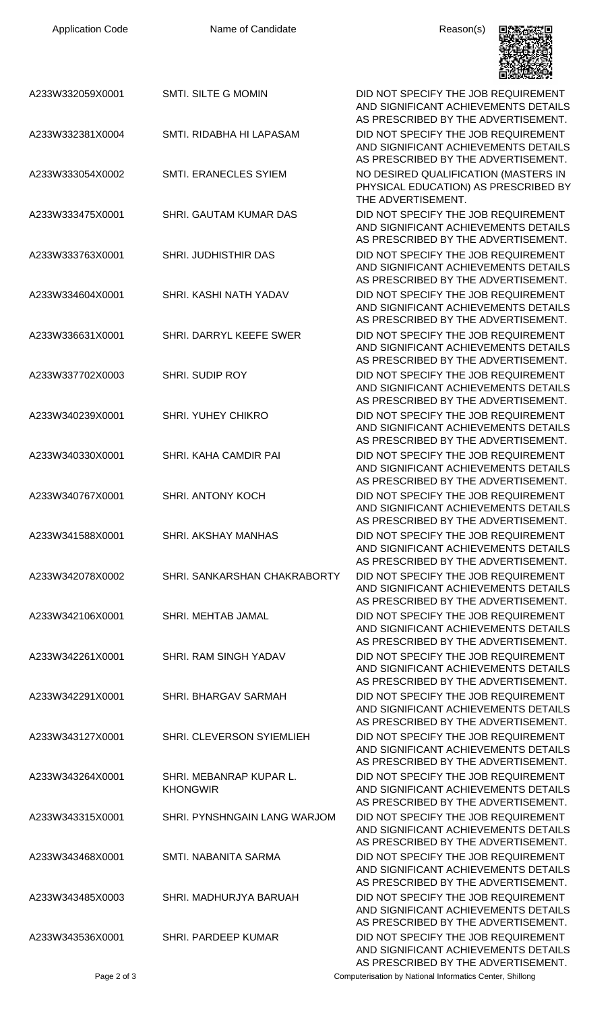

|                  |                                            | 回避解散数学                                                                                                             |
|------------------|--------------------------------------------|--------------------------------------------------------------------------------------------------------------------|
| A233W332059X0001 | <b>SMTI. SILTE G MOMIN</b>                 | DID NOT SPECIFY THE JOB REQUIREMENT<br>AND SIGNIFICANT ACHIEVEMENTS DETAILS<br>AS PRESCRIBED BY THE ADVERTISEMENT. |
| A233W332381X0004 | SMTI. RIDABHA HI LAPASAM                   | DID NOT SPECIFY THE JOB REQUIREMENT<br>AND SIGNIFICANT ACHIEVEMENTS DETAILS<br>AS PRESCRIBED BY THE ADVERTISEMENT. |
| A233W333054X0002 | SMTI. ERANECLES SYIEM                      | NO DESIRED QUALIFICATION (MASTERS IN<br>PHYSICAL EDUCATION) AS PRESCRIBED BY<br>THE ADVERTISEMENT.                 |
| A233W333475X0001 | SHRI. GAUTAM KUMAR DAS                     | DID NOT SPECIFY THE JOB REQUIREMENT<br>AND SIGNIFICANT ACHIEVEMENTS DETAILS<br>AS PRESCRIBED BY THE ADVERTISEMENT. |
| A233W333763X0001 | SHRI. JUDHISTHIR DAS                       | DID NOT SPECIFY THE JOB REQUIREMENT<br>AND SIGNIFICANT ACHIEVEMENTS DETAILS<br>AS PRESCRIBED BY THE ADVERTISEMENT. |
| A233W334604X0001 | SHRI. KASHI NATH YADAV                     | DID NOT SPECIFY THE JOB REQUIREMENT<br>AND SIGNIFICANT ACHIEVEMENTS DETAILS<br>AS PRESCRIBED BY THE ADVERTISEMENT. |
| A233W336631X0001 | SHRI. DARRYL KEEFE SWER                    | DID NOT SPECIFY THE JOB REQUIREMENT<br>AND SIGNIFICANT ACHIEVEMENTS DETAILS<br>AS PRESCRIBED BY THE ADVERTISEMENT. |
| A233W337702X0003 | <b>SHRI. SUDIP ROY</b>                     | DID NOT SPECIFY THE JOB REQUIREMENT<br>AND SIGNIFICANT ACHIEVEMENTS DETAILS<br>AS PRESCRIBED BY THE ADVERTISEMENT. |
| A233W340239X0001 | <b>SHRI. YUHEY CHIKRO</b>                  | DID NOT SPECIFY THE JOB REQUIREMENT<br>AND SIGNIFICANT ACHIEVEMENTS DETAILS<br>AS PRESCRIBED BY THE ADVERTISEMENT. |
| A233W340330X0001 | SHRI. KAHA CAMDIR PAI                      | DID NOT SPECIFY THE JOB REQUIREMENT<br>AND SIGNIFICANT ACHIEVEMENTS DETAILS<br>AS PRESCRIBED BY THE ADVERTISEMENT. |
| A233W340767X0001 | <b>SHRI. ANTONY KOCH</b>                   | DID NOT SPECIFY THE JOB REQUIREMENT<br>AND SIGNIFICANT ACHIEVEMENTS DETAILS<br>AS PRESCRIBED BY THE ADVERTISEMENT. |
| A233W341588X0001 | <b>SHRI. AKSHAY MANHAS</b>                 | DID NOT SPECIFY THE JOB REQUIREMENT<br>AND SIGNIFICANT ACHIEVEMENTS DETAILS<br>AS PRESCRIBED BY THE ADVERTISEMENT. |
| A233W342078X0002 | SHRI. SANKARSHAN CHAKRABORTY               | DID NOT SPECIFY THE JOB REQUIREMENT<br>AND SIGNIFICANT ACHIEVEMENTS DETAILS<br>AS PRESCRIBED BY THE ADVERTISEMENT. |
| A233W342106X0001 | SHRI. MEHTAB JAMAL                         | DID NOT SPECIFY THE JOB REQUIREMENT<br>AND SIGNIFICANT ACHIEVEMENTS DETAILS<br>AS PRESCRIBED BY THE ADVERTISEMENT. |
| A233W342261X0001 | SHRI. RAM SINGH YADAV                      | DID NOT SPECIFY THE JOB REQUIREMENT<br>AND SIGNIFICANT ACHIEVEMENTS DETAILS<br>AS PRESCRIBED BY THE ADVERTISEMENT. |
| A233W342291X0001 | SHRI. BHARGAV SARMAH                       | DID NOT SPECIFY THE JOB REQUIREMENT<br>AND SIGNIFICANT ACHIEVEMENTS DETAILS<br>AS PRESCRIBED BY THE ADVERTISEMENT. |
| A233W343127X0001 | SHRI. CLEVERSON SYIEMLIEH                  | DID NOT SPECIFY THE JOB REQUIREMENT<br>AND SIGNIFICANT ACHIEVEMENTS DETAILS<br>AS PRESCRIBED BY THE ADVERTISEMENT. |
| A233W343264X0001 | SHRI. MEBANRAP KUPAR L.<br><b>KHONGWIR</b> | DID NOT SPECIFY THE JOB REQUIREMENT<br>AND SIGNIFICANT ACHIEVEMENTS DETAILS<br>AS PRESCRIBED BY THE ADVERTISEMENT. |
| A233W343315X0001 | SHRI. PYNSHNGAIN LANG WARJOM               | DID NOT SPECIFY THE JOB REQUIREMENT<br>AND SIGNIFICANT ACHIEVEMENTS DETAILS<br>AS PRESCRIBED BY THE ADVERTISEMENT. |
| A233W343468X0001 | SMTI. NABANITA SARMA                       | DID NOT SPECIFY THE JOB REQUIREMENT<br>AND SIGNIFICANT ACHIEVEMENTS DETAILS<br>AS PRESCRIBED BY THE ADVERTISEMENT. |
| A233W343485X0003 | SHRI, MADHURJYA BARUAH                     | DID NOT SPECIFY THE JOB REQUIREMENT<br>AND SIGNIFICANT ACHIEVEMENTS DETAILS<br>AS PRESCRIBED BY THE ADVERTISEMENT. |
| A233W343536X0001 | <b>SHRI. PARDEEP KUMAR</b>                 | DID NOT SPECIFY THE JOB REQUIREMENT<br>AND SIGNIFICANT ACHIEVEMENTS DETAILS<br>AS PRESCRIBED BY THE ADVERTISEMENT. |